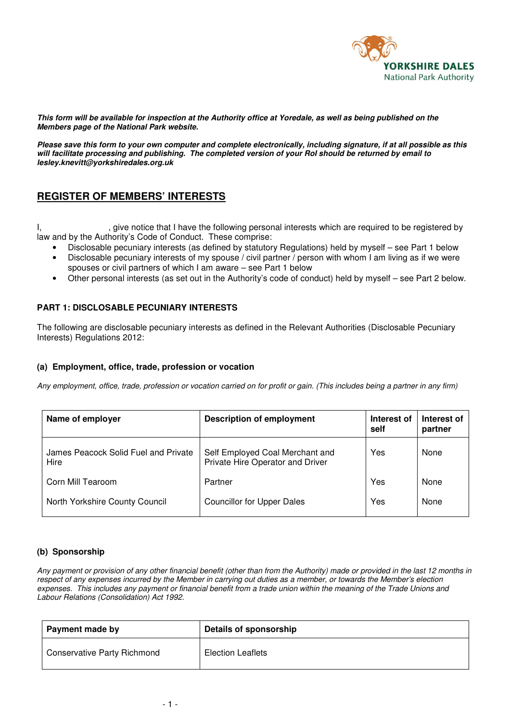

**This form will be available for inspection at the Authority office at Yoredale, as well as being published on the Members page of the National Park website.** 

**Please save this form to your own computer and complete electronically, including signature, if at all possible as this will facilitate processing and publishing. The completed version of your RoI should be returned by email to lesley.knevitt@yorkshiredales.org.uk** 

# **REGISTER OF MEMBERS' INTERESTS**

I, spirit is give notice that I have the following personal interests which are required to be registered by law and by the Authority's Code of Conduct. These comprise:

- Disclosable pecuniary interests (as defined by statutory Regulations) held by myself see Part 1 below
- Disclosable pecuniary interests of my spouse / civil partner / person with whom I am living as if we were spouses or civil partners of which I am aware – see Part 1 below
- Other personal interests (as set out in the Authority's code of conduct) held by myself see Part 2 below.

### **PART 1: DISCLOSABLE PECUNIARY INTERESTS**

The following are disclosable pecuniary interests as defined in the Relevant Authorities (Disclosable Pecuniary Interests) Regulations 2012:

### **(a) Employment, office, trade, profession or vocation**

*Any employment, office, trade, profession or vocation carried on for profit or gain. (This includes being a partner in any firm)* 

| Name of employer                             | <b>Description of employment</b>                                    | Interest of<br>self | Interest of<br>partner |
|----------------------------------------------|---------------------------------------------------------------------|---------------------|------------------------|
| James Peacock Solid Fuel and Private<br>Hire | Self Employed Coal Merchant and<br>Private Hire Operator and Driver | Yes                 | None                   |
| Corn Mill Tearoom                            | Partner                                                             | Yes                 | None                   |
| North Yorkshire County Council               | <b>Councillor for Upper Dales</b>                                   | Yes                 | None                   |

### **(b) Sponsorship**

*Any payment or provision of any other financial benefit (other than from the Authority) made or provided in the last 12 months in respect of any expenses incurred by the Member in carrying out duties as a member, or towards the Member's election expenses. This includes any payment or financial benefit from a trade union within the meaning of the Trade Unions and Labour Relations (Consolidation) Act 1992.* 

| Payment made by                    | Details of sponsorship   |
|------------------------------------|--------------------------|
| <b>Conservative Party Richmond</b> | <b>Election Leaflets</b> |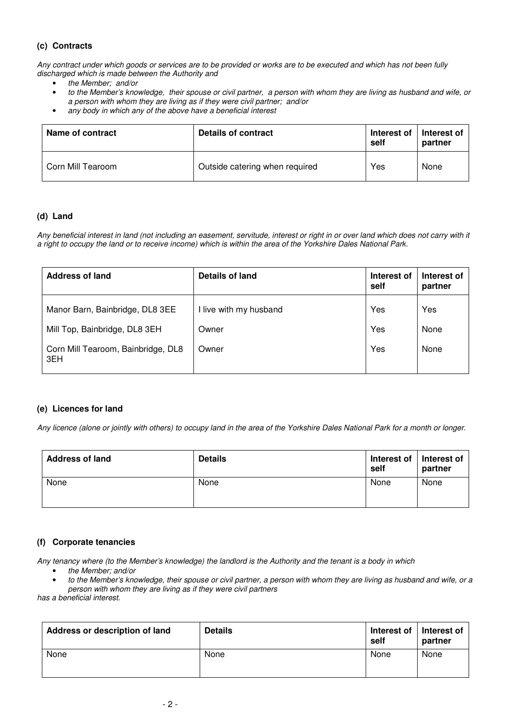# **(c) Contracts**

*Any contract under which goods or services are to be provided or works are to be executed and which has not been fully discharged which is made between the Authority and* 

- *the Member; and/or*
- *to the Member's knowledge, their spouse or civil partner, a person with whom they are living as husband and wife, or a person with whom they are living as if they were civil partner; and/or*
- *any body in which any of the above have a beneficial interest*

| Name of contract  | Details of contract            | Interest of<br>self | Interest of<br>partner |
|-------------------|--------------------------------|---------------------|------------------------|
| Corn Mill Tearoom | Outside catering when required | Yes                 | None                   |

#### **(d) Land**

*Any beneficial interest in land (not including an easement, servitude, interest or right in or over land which does not carry with it a right to occupy the land or to receive income) which is within the area of the Yorkshire Dales National Park.* 

| <b>Address of land</b>                                                                                        | Details of land                          | Interest of<br>self | Interest of<br>partner |
|---------------------------------------------------------------------------------------------------------------|------------------------------------------|---------------------|------------------------|
| Manor Barn, Bainbridge, DL8 3EE<br>Mill Top, Bainbridge, DL8 3EH<br>Corn Mill Tearoom, Bainbridge, DL8<br>3EH | I live with my husband<br>Owner<br>Owner | Yes<br>Yes<br>Yes   | Yes<br>None<br>None    |

#### **(e) Licences for land**

*Any licence (alone or jointly with others) to occupy land in the area of the Yorkshire Dales National Park for a month or longer.* 

| <b>Address of land</b> | <b>Details</b> | Interest of<br>self | Interest of<br>partner |
|------------------------|----------------|---------------------|------------------------|
| None                   | None           | None                | None                   |

### **(f) Corporate tenancies**

*Any tenancy where (to the Member's knowledge) the landlord is the Authority and the tenant is a body in which* 

- *the Member; and/or*
- *to the Member's knowledge, their spouse or civil partner, a person with whom they are living as husband and wife, or a person with whom they are living as if they were civil partners*

*has a beneficial interest.* 

| Address or description of land | <b>Details</b> | Interest of<br>self | Interest of<br>partner |
|--------------------------------|----------------|---------------------|------------------------|
| None                           | None           | None                | None                   |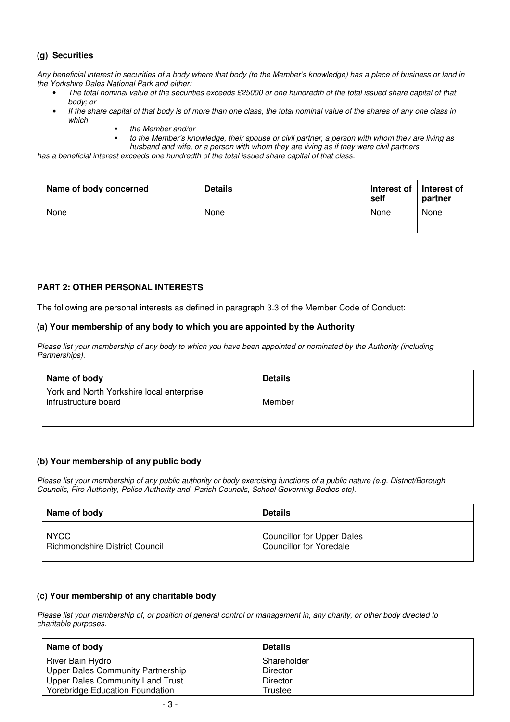# **(g) Securities**

*Any beneficial interest in securities of a body where that body (to the Member's knowledge) has a place of business or land in the Yorkshire Dales National Park and either:* 

- *The total nominal value of the securities exceeds £25000 or one hundredth of the total issued share capital of that body; or*
- *If the share capital of that body is of more than one class, the total nominal value of the shares of any one class in which* 
	- *the Member and/or*
	- *to the Member's knowledge, their spouse or civil partner, a person with whom they are living as husband and wife, or a person with whom they are living as if they were civil partners*

*has a beneficial interest exceeds one hundredth of the total issued share capital of that class.* 

| Name of body concerned | <b>Details</b> | Interest of<br>self | Interest of<br>partner |
|------------------------|----------------|---------------------|------------------------|
| None                   | None           | None                | None                   |

### **PART 2: OTHER PERSONAL INTERESTS**

The following are personal interests as defined in paragraph 3.3 of the Member Code of Conduct:

### **(a) Your membership of any body to which you are appointed by the Authority**

*Please list your membership of any body to which you have been appointed or nominated by the Authority (including Partnerships).* 

| Name of body                                                      | <b>Details</b> |
|-------------------------------------------------------------------|----------------|
| York and North Yorkshire local enterprise<br>infrustructure board | Member         |

### **(b) Your membership of any public body**

*Please list your membership of any public authority or body exercising functions of a public nature (e.g. District/Borough Councils, Fire Authority, Police Authority and Parish Councils, School Governing Bodies etc).*

| Name of body                          | <b>Details</b>                    |
|---------------------------------------|-----------------------------------|
| <b>NYCC</b>                           | <b>Councillor for Upper Dales</b> |
| <b>Richmondshire District Council</b> | <b>Councillor for Yoredale</b>    |

### **(c) Your membership of any charitable body**

*Please list your membership of, or position of general control or management in, any charity, or other body directed to charitable purposes.* 

| Name of body                           | <b>Details</b> |
|----------------------------------------|----------------|
| River Bain Hydro                       | Shareholder    |
| Upper Dales Community Partnership      | Director       |
| Upper Dales Community Land Trust       | Director       |
| <b>Yorebridge Education Foundation</b> | Trustee        |